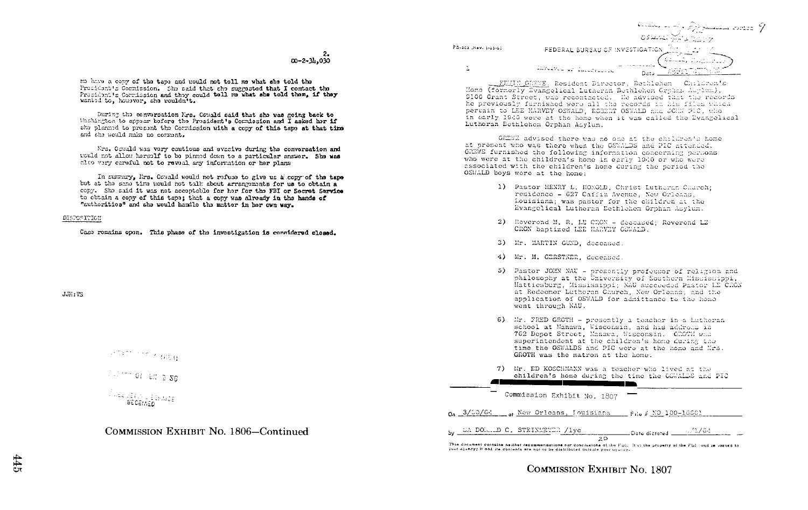$00 - 2 - 3h - 030$ 

me have a copy of the tape and mould not tell me what she told the President's Commission. She said that the suggested that I contact the Precident's Corrission and they could tell me what she told them, if they wanted to, housver, she wouldn't.

During the conversation Nrs. Osuald said that she was going back to Uashington to appear tofore the President's Commission and I asked her if she planned to prosent the Commission with a copy of this tape at that time and she would make no comment.

Mrs. Octuald was vory cautious and evacive during the conversation and uculd not allow herealf to be pinned down to a particular answer. She was also very careful not to reveal any information or her plans

In summary, Mrs. Oswald would not refuse to give us alcopy of the tape but at the serie time would not talk about arrangements for us to obtain a copy. She said it was not acceptable for her for the FBI or Secret Service to obtain a copy of this tape; that a copy was already in the hands of "authorities" and she would handle the matter in her own way.

#### DISPOSITION

Case remains open. This phase of the investigation is considered closed.

JJHIVS



# COMMISSION EXHIBIT No. 1806-Continued

Constantinople of the Summary assessed of الرازار<u>ي واليكز تتم</u>سطون **FEDERAL BUREAU OF INVESTIGATION Service Lodge** 

EDMIN GERME, Resident Director, Bethlehem Children's 9100 Grant Street, was recontacted. He advised that the records he previously furnished were all the records in his files which pertain to LEE HARVEY OSWALD. ROBBRY OSWALD and JOHN PIC, who in early 1940 were at the home when it was called the Evangelical Lutheran Ecthlehem Orphan Asvlum.

GREWE advised there was no one at the children's home at present who was there when the OSYALDS and PIC attended. GREWE furnished the following information concerning persons who were at the children's home in early 1940 or who were associated with the children's home during the period the OSWALD boys were at the home:

- 1) Pastor HENRY L. HONGLD. Christ Lutheran Church: residence = 627 Caffin Avenue, New Orleans. Louisiana; was pastor for the children at the Evangelical Lutheran Dethlehem Orphan Asylum.
- 2) Reverend M. R. LE CRON deceased; Reverend LE CRON baptized LEE HARVEY OSWAID.
- 3) Mr. MARTIN GUND, deceased.

PD-102 (Rev. 1-25-60

 $\tilde{\mathbb{E}}$ 

- 4) Mr. M. GERSTNER, deceased
- 5) Pastor JOHN NAU presently professor of religion and philosophy at the University of Southern Misriscippi, Hattiesburg, Mississippi; NAU succeeded Pastor LE CRON at Redeemer Lutheran Church. New Orleans, and the application of OSWALD for admittance to the home went through NAU.
- 6) Mr. FRED GROTH presently a teacher in a Lutheran school at Manawa. Wisconsin, and his address is 762 Depot Street, Manawa, Wisconsin, CDOTH was superintendent at the children's home during the time the OSWALDS and PIC were at the home and Mrs. GROTH was the matron at the home.
- 7) Mr. ED KOSCHMANN was a teacher who lived at the children's home during the time the OSWALDS and PIC <u> The China and The China and The China and The China and The China and The China and The China and The China and The China and The China and The China and The China and The China and The China and The China and The China </u>

Commission Exhibit No. 1807

 $_{0a}$  3/10/64 of New Orleans, Iouisiana File # NO 100-16601

by  $\frac{\text{EAPO}}{\text{EAPO}}$  of STEINEEYER /1yc 20  $\frac{1}{2\sqrt{2}}$  Dote dictated  $\frac{1}{2\sqrt{2}}$  /  $\frac{3}{2}$  /  $\frac{3}{2}$  /  $\frac{3}{2}$  /  $\frac{3}{2}$ 

This document contains neither recommendations nor conclusions of the FDL. It is the property of the FDI and is loaned to Your acuncy; it and its contents are not to be distributed outside your acuncy.

COMMISSION EXHIBIT No. 1807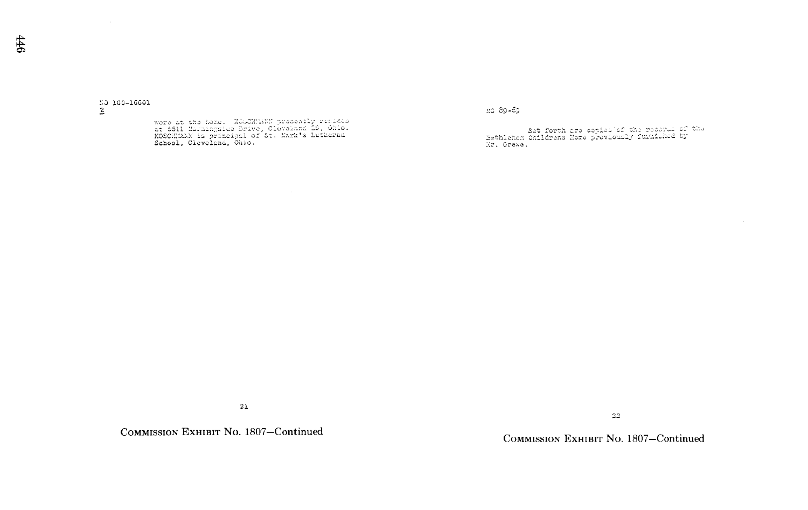$\frac{10}{2}$  100-16601

were at the home. HOUGHWANN presently resides<br>at 5511 Mouningside Drive, Cleveland 29, Ohio.<br>KOSCHWAN is principal of St. Mark's Lutheran<br>School, Cleveland, Ohio.

110 89-69

Set forth are copies of the research of the<br>Bethlehem Onildrens Home proviously furniched by<br>Nr. Grewe.

 $21$ 

COMMISSION EXHIBIT No. 1807-Continued

COMMISSION EXHIBIT No. 1807-Continued

 $22\,$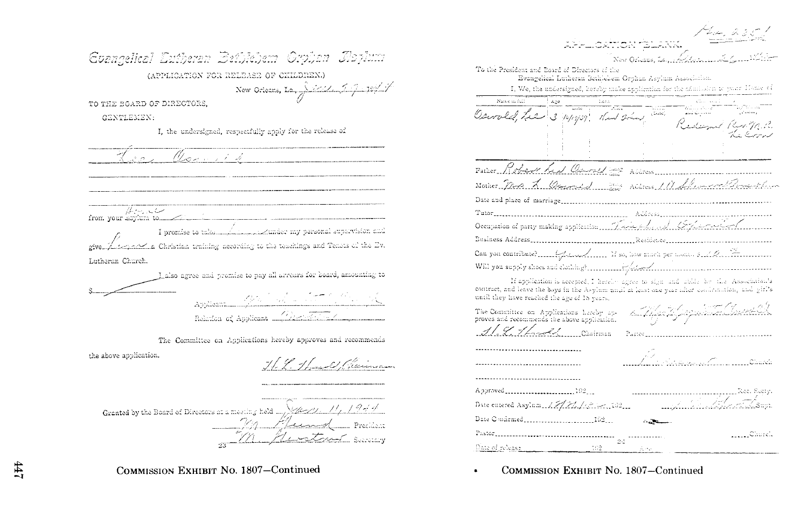| Evangelical Eutheran Bethlehem Orphan Ilophun                                                                                                                                                                                                                                  |
|--------------------------------------------------------------------------------------------------------------------------------------------------------------------------------------------------------------------------------------------------------------------------------|
| (APPLICATION FOR RELEASE OF CHILDREN.)                                                                                                                                                                                                                                         |
| New Orleans, La, $\sqrt{\frac{1}{\sqrt{1-\frac{1}{2}}} \cdot \frac{10\frac{1}{2}}{1-\frac{1}{2}}}$                                                                                                                                                                             |
| TO THE BOARD OF DIRECTORS.                                                                                                                                                                                                                                                     |
| GENTLEMEN:                                                                                                                                                                                                                                                                     |
| I, the undersigned, respectfully apply for the release of                                                                                                                                                                                                                      |
| Lee Commit                                                                                                                                                                                                                                                                     |
|                                                                                                                                                                                                                                                                                |
| ست ب به به به بابا<br>I promise to take my new personal supervision and<br>$\mathbb{Z}_{\geq 2}$ . Christian training according to the teachings and Tenets of the Ev.                                                                                                         |
| Lutheran Church.                                                                                                                                                                                                                                                               |
| Lakso agree and promise to pay all arrears for board, amounting to                                                                                                                                                                                                             |
| Applicants. A the Contract of the Contract of the Contract of the Contract of the Contract of the Contract of the Contract of the Contract of the Contract of the Contract of the Contract of the Contract of the Contract of<br>Relation of Applicant (Western Communication) |
| The Committee on Applications hereby approves and recommends                                                                                                                                                                                                                   |
| the above application.<br>H. L. Hand Claiman                                                                                                                                                                                                                                   |
| Granted by the Board of Directors at a meeting held $\frac{1}{\sqrt{2}}$<br>Flund Preelism<br>-- V Armad<br>H / V A<br><u> André Scaracary</u>                                                                                                                                 |

APPLICATION (BLANK New Orleans, La., 22 To the President and Board of Directors of the Evangelical Lutheran Bethlebem Orphan Asylum Association. I, We, the undersigned, hereby make application for the admission to your Home of Name is full and a start<br>The start of the start old tre 3 14/19/39 Went sim والمتعاديات Mother Ma L Ournes Riders 111 fls Occupation of party making application Trinity for and Cryptoconform If application is accepted, I hereby agree to sign and abide he the Association's contract, and leave the boys in the Asylum unail at least one year after confirmation, and girl's until they have reached the age of 18 years. -toma filipsgishte Sait The Committee on Applications hereby approves and recommends the above application. 1.9.1 Ludd Chairman ------------------------------------................................... <u>, alphabet de la facta</u> Date entered Asylum 12/7/2/2010010201 

 $\frac{1}{24}$  ................

**MAGE Church** 

COMMISSION EXHIBIT No. 1807-Continued

162

 ${\tt Fastor} \label{thm:1} \centering \begin{minipage}{0.9\linewidth} \textbf{?} \end{minipage}$ 

Date of release.

COMMISSION EXHIBIT No. 1807-Continued

 $47$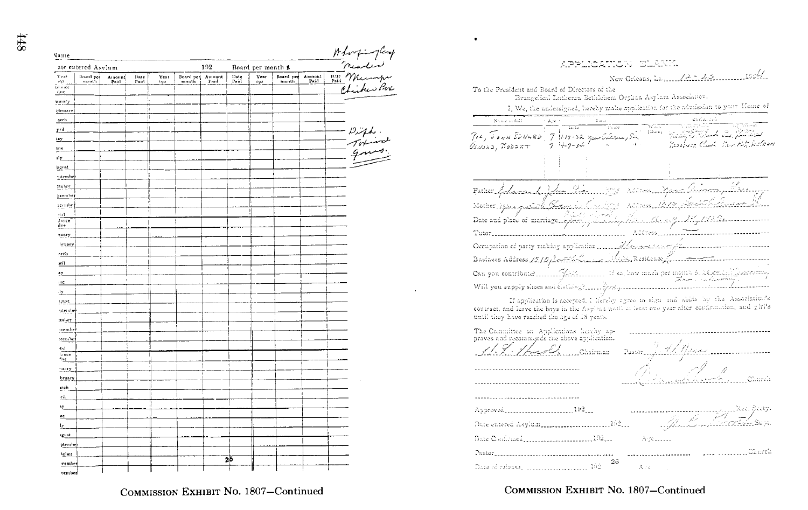N

| ame            |                    |                |              |             |                           |      |              |                    |                    |                | Holosping Carp<br>- Mearler<br>Phil Meanspie<br>- Chicker Port |
|----------------|--------------------|----------------|--------------|-------------|---------------------------|------|--------------|--------------------|--------------------|----------------|----------------------------------------------------------------|
|                | ate entered Asylum |                |              |             |                           | 192  |              | Board per month \$ |                    |                |                                                                |
| Year<br>$92 -$ | Board per<br>month | Amount<br>Paid | Date<br>Paid | Year<br>192 | Board per Amount<br>mouth | Paid | Date<br>Paid | Year<br>192        | Board per<br>month | Amount<br>Paid |                                                                |
| imce<br>ĝn!    |                    |                |              |             |                           |      |              |                    |                    |                |                                                                |
| unary          |                    |                | ţ,           |             |                           |      |              |                    |                    |                |                                                                |
| hrnary         |                    |                | ÿ.           |             |                           |      |              |                    |                    |                |                                                                |
| arch           |                    |                | ţj.          |             |                           |      |              |                    |                    |                |                                                                |
| pril           |                    |                | ij           |             |                           |      |              |                    |                    |                |                                                                |
| <u>ay</u>      |                    |                |              |             |                           |      |              |                    |                    |                | - Diff.<br>- Totinal<br>- gnos                                 |
| ne.            |                    |                |              |             |                           |      |              |                    |                    |                |                                                                |
| dy_            |                    |                |              |             |                           |      |              |                    |                    |                |                                                                |
| agust.         |                    |                |              |             |                           |      |              |                    |                    |                |                                                                |
| ptembe         |                    |                | à            |             |                           |      |              |                    |                    |                |                                                                |
| toher          |                    |                |              |             |                           |      |              |                    |                    |                |                                                                |
| pvembel        |                    |                | μ            |             |                           |      |              |                    |                    |                |                                                                |
| zecube         |                    |                | p.           |             |                           |      |              |                    |                    |                |                                                                |
| frir           |                    |                |              |             |                           |      |              |                    |                    |                |                                                                |
| Jance<br>:Ine  |                    |                |              |             |                           |      |              |                    |                    |                |                                                                |
| nuary          |                    |                |              |             |                           |      |              |                    |                    |                |                                                                |
| bruary         |                    |                |              |             |                           |      |              |                    |                    |                |                                                                |
| arch           |                    |                |              |             |                           |      |              |                    |                    |                |                                                                |
| Jme            |                    |                |              |             |                           |      |              |                    |                    |                |                                                                |
| ŁY.            |                    |                |              |             |                           |      |              |                    |                    |                |                                                                |
| me             |                    | ¥              |              |             |                           |      |              |                    |                    |                |                                                                |
| 立              |                    |                |              |             |                           |      |              |                    |                    |                |                                                                |
| igust.         |                    |                |              |             |                           |      |              |                    |                    |                |                                                                |
| ptembe         |                    |                |              |             |                           |      |              |                    |                    |                |                                                                |
| :tober         |                    |                |              |             |                           |      |              |                    |                    |                |                                                                |
| wentle:        |                    |                |              |             |                           |      |              |                    |                    |                |                                                                |
| :cember        |                    |                |              |             |                           |      |              |                    |                    |                |                                                                |
| tal            |                    |                |              |             |                           |      |              |                    |                    |                |                                                                |
| lance          |                    |                |              |             |                           |      |              |                    |                    |                |                                                                |
| the            |                    | ÷              |              |             |                           |      |              |                    |                    |                |                                                                |
| mary_          |                    |                |              |             |                           |      |              |                    |                    |                |                                                                |
| bruary         |                    |                |              |             |                           |      |              |                    |                    |                |                                                                |
| <b>yrch</b>    |                    |                |              |             |                           |      |              |                    |                    |                |                                                                |
| gil.           |                    |                |              | H           |                           |      |              |                    |                    |                |                                                                |
| ιy_            |                    |                |              |             |                           |      |              |                    |                    |                |                                                                |
| ne             |                    |                |              |             |                           |      |              |                    |                    |                |                                                                |
| lγ.,           |                    |                |              |             |                           |      |              |                    |                    |                |                                                                |
| igust          |                    |                |              |             |                           |      |              |                    |                    |                |                                                                |
| ptember        |                    |                |              |             |                           |      |              |                    |                    |                |                                                                |
| tober          |                    |                |              |             |                           |      | 2ŏ           |                    |                    |                |                                                                |
| vember         |                    |                |              |             |                           |      |              |                    |                    |                |                                                                |
| cembed         |                    |                |              |             |                           |      |              |                    |                    |                |                                                                |

New Orleans, La., 12: 43. 1004 To the President and Board of Directors of the Evangelical Lutheran Bethlehem Orphan Asylum Association. I, We, the undersigned, hereby make application for the admission to your Mome of Name in full  $\mathbf{A}_i(\mathbf{c})$  $-w_{\rm{max}}$  $\overline{p}$ , Town EDNARD العشق الدخل سنكافأ والمتعارض 9 11-12-32 year Culturer , Sta Resource Clark Rev. Ast. Walker  $7 + 7 - 34$ Address\_Asam alisonne, Lau Factor Edward Van Pie Address 1612 Mother Space guard Elderson County Occupation of party making application ...... Ilse executively Business Address 1910 South Laws Mich, Residence Communication Will you supply shoes and elothing? If application is accepted, I lievely agree to sign and abide by the Association's

contract, and leave the boys in the Asylum until at least one year after confirmation, and girl's until they have reached the age of 18 years.

The Committee on Applications hereby approves and recommends the above application. Chairman Pastor<sub>a</sub> Church ------------------------------------Approved..........................192...  $\frac{1}{2}$   $\frac{1}{2}$   $\frac{1}{2}$   $\frac{1}{2}$   $\frac{1}{2}$   $\frac{1}{2}$   $\frac{1}{2}$   $\frac{1}{2}$   $\frac{1}{2}$   $\frac{1}{2}$   $\frac{1}{2}$   $\frac{1}{2}$   $\frac{1}{2}$   $\frac{1}{2}$   $\frac{1}{2}$   $\frac{1}{2}$   $\frac{1}{2}$   $\frac{1}{2}$   $\frac{1}{2}$   $\frac{1}{2}$   $\frac{1}{2}$   $\frac{1}{2}$  Date entered Asylum ...............................162.... Date Confirmed Contract (1921) Arrettenen . . . . . . . . . . . . . . Church ---------------------- $2\delta$ Date of release,  $\left[\ldots,\ldots,\ldots,\ldots,\ldots,\cdots\right]$  102 Are

COMMISSION EXHIBIT No. 1807-Continued

COMMISSION EXHIBIT No. 1807-Continued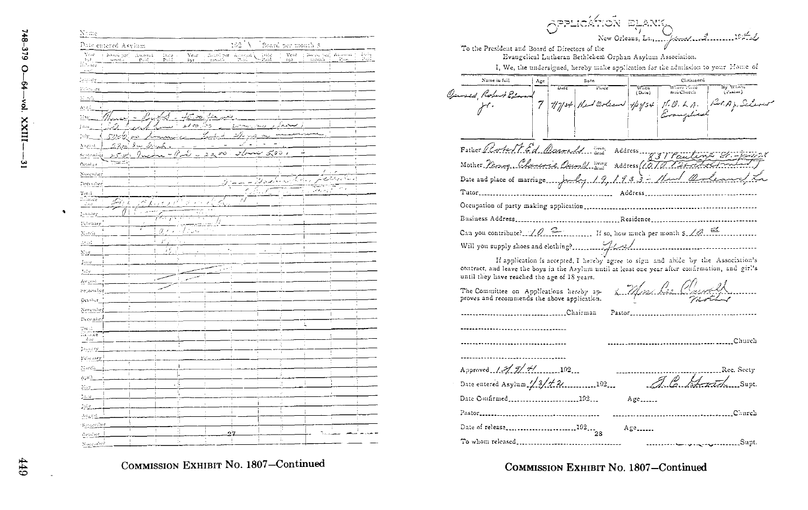$\blacktriangleleft$ 

| Name                                                                           |                            |                                       |              |                     |                |                   |                                 |                              |                            |
|--------------------------------------------------------------------------------|----------------------------|---------------------------------------|--------------|---------------------|----------------|-------------------|---------------------------------|------------------------------|----------------------------|
| Date entered Asylum                                                            |                            |                                       |              | ÎΥ<br>102           |                | Board per month 3 |                                 |                              |                            |
| Vest<br>$\frac{1}{2}$ in<br>and per $\frac{1}{2}$<br>inga<br>Iti Annee<br>and. | $\Lambda$ along 1<br>Paid. | Ye.c<br>$D$ and $\sim$<br>Paid<br>192 |              | Board per General Y | late<br>Paid   | Vear<br>192       | ; Borne her, Abonité ;<br>month | $\mathcal{V}, \mathcal{U}_2$ | $\frac{1}{P_{\text{max}}}$ |
| $\mu$ and $\mu$                                                                |                            |                                       |              |                     |                |                   |                                 |                              |                            |
| Politicity                                                                     |                            | ķ                                     | Î.           | à,                  |                | Î,                |                                 |                              |                            |
| 51.562<br>ĵ                                                                    |                            | 'n                                    |              | ł.                  |                |                   |                                 |                              |                            |
| April                                                                          |                            |                                       |              |                     |                |                   | t                               |                              |                            |
| May                                                                            |                            |                                       | elet.op. Ler |                     |                |                   | l,                              | ŧ                            |                            |
| Jaar                                                                           |                            |                                       | دیئ دہ مد    |                     | s.c)           | J.                |                                 | I                            |                            |
| $\mathcal{W}^{\mathcal{M}}$                                                    |                            |                                       | bruikt i     | بىزىنە<br>à.        |                |                   | ×,                              | Ţ                            |                            |
| 222<br>Angust                                                                  |                            |                                       |              | ä,                  | í.             |                   |                                 |                              |                            |
| $50 - \mu$<br>September                                                        | 0                          | È                                     | vo<br>2.2.   | مركزيه              | ممشما<br>€ت    | ر ده'             | ÷,                              |                              |                            |
| تعصب<br>October                                                                |                            |                                       |              |                     |                |                   |                                 |                              |                            |
| November                                                                       |                            |                                       |              |                     |                |                   |                                 |                              |                            |
| December                                                                       |                            |                                       | Ż.           |                     | يساول          |                   |                                 | <u>i</u> Dee<br>إدنت         |                            |
|                                                                                |                            |                                       |              | l,                  | ê.             |                   | $\sqrt{2}$ and $\sqrt{2}$       | $\mathcal{O}^{\mathcal{A}}$  |                            |
| $\frac{\text{Total}}{\text{Number}}$<br>₫¥,<br><b>Sine</b>                     | ¥                          |                                       |              | 71                  |                |                   |                                 |                              |                            |
| January                                                                        | Ŧ                          |                                       |              |                     |                |                   |                                 |                              |                            |
| Pebruary                                                                       | Żπ                         | ī                                     |              |                     |                |                   |                                 |                              |                            |
| Morek                                                                          |                            | a i<br>,                              |              |                     |                |                   |                                 |                              |                            |
| Atori                                                                          | r                          |                                       |              |                     |                |                   |                                 |                              |                            |
|                                                                                |                            | $\mathbf{I}$<br>W                     |              | ÷                   |                |                   | f.                              |                              |                            |
| $\rm{May}$                                                                     | ï                          | ÿ.                                    |              |                     |                |                   | t                               |                              |                            |
| June<br>July.                                                                  | ï,                         |                                       |              |                     |                |                   |                                 |                              |                            |
|                                                                                |                            |                                       |              |                     |                |                   |                                 |                              |                            |
| Ampost<br>September                                                            |                            |                                       |              |                     |                |                   |                                 |                              |                            |
|                                                                                |                            |                                       |              | ł                   |                |                   |                                 |                              |                            |
| October.<br>ĭ                                                                  | ï                          |                                       |              | í,                  |                |                   |                                 |                              |                            |
| November                                                                       |                            |                                       |              |                     |                |                   | T<br>í.                         |                              |                            |
| December                                                                       |                            |                                       |              |                     | $\overline{1}$ |                   | L                               |                              |                            |
| Total<br>illine                                                                |                            | ă                                     |              |                     |                |                   |                                 |                              |                            |
| due<br>í.                                                                      | t                          |                                       |              |                     |                | q                 |                                 |                              |                            |
| Digital <u>M</u>                                                               |                            |                                       | ł            |                     |                | ï                 | ï                               |                              |                            |
| February !<br>ł                                                                |                            | ï                                     |              |                     |                | ì.                |                                 |                              |                            |
| March<br>f,                                                                    |                            | ļ,                                    |              |                     |                | ă                 |                                 |                              |                            |
| Aşail,<br>í                                                                    |                            | Ŧ<br>í.                               | ł.           |                     |                | q.                | î.                              |                              |                            |
| May.                                                                           |                            |                                       | í.           |                     |                | à.                | J                               |                              |                            |
| $_{\rm{base}}$                                                                 |                            |                                       |              |                     |                |                   |                                 |                              |                            |
| July.                                                                          |                            |                                       |              |                     |                | v.                |                                 |                              |                            |
| $\Lambda v_6 v_5$                                                              |                            |                                       |              |                     |                |                   |                                 |                              |                            |
| Separation                                                                     | ł                          | ă                                     |              |                     |                | þ                 |                                 |                              |                            |
| October_                                                                       | ÷                          | ţ,                                    |              | 27                  |                | ţ,                |                                 |                              |                            |
| November                                                                       |                            |                                       |              |                     |                |                   |                                 |                              |                            |

COMMISSION EXHIBIT No. 1807-Continued

|                                                                                                                                                                                 |                                                                      |      | pplicátion syank                                          |                                     |                                                     |                                                                                   |  |  |  |  |  |  |
|---------------------------------------------------------------------------------------------------------------------------------------------------------------------------------|----------------------------------------------------------------------|------|-----------------------------------------------------------|-------------------------------------|-----------------------------------------------------|-----------------------------------------------------------------------------------|--|--|--|--|--|--|
|                                                                                                                                                                                 |                                                                      |      |                                                           |                                     | New Orleans, La., George 102                        |                                                                                   |  |  |  |  |  |  |
| To the President and Board of Directors of the                                                                                                                                  |                                                                      |      | Evangelical Lutheran Bethlehem Orphan Asylum Association. |                                     |                                                     |                                                                                   |  |  |  |  |  |  |
|                                                                                                                                                                                 |                                                                      |      |                                                           |                                     |                                                     | I, We, the undersigned, hereby make application for the admission to your Home of |  |  |  |  |  |  |
| Name in full                                                                                                                                                                    | Age                                                                  | Date |                                                           |                                     | Christened<br>Willere Millee                        |                                                                                   |  |  |  |  |  |  |
| rad Robert Edm                                                                                                                                                                  |                                                                      |      |                                                           | $\frac{\text{When}}{\text{(Data)}}$ | nad Church                                          | Try When<br>(Danier)                                                              |  |  |  |  |  |  |
|                                                                                                                                                                                 |                                                                      |      |                                                           |                                     | 117/34 New Orlean 1/27/34 M. O. L. A.<br>Evangeline |                                                                                   |  |  |  |  |  |  |
| Father <i>(Roster T. E.d., (floassedd, Ligen</i> ia, Address <i>, Lyry procenting)</i><br>Mother <i>Dessey, Colomborie, Oeron Al</i> Ligency, Address <i>(1011), The second</i> |                                                                      |      |                                                           |                                     |                                                     |                                                                                   |  |  |  |  |  |  |
|                                                                                                                                                                                 |                                                                      |      |                                                           |                                     |                                                     |                                                                                   |  |  |  |  |  |  |
| Tutor.                                                                                                                                                                          |                                                                      |      |                                                           | Address                             |                                                     |                                                                                   |  |  |  |  |  |  |
|                                                                                                                                                                                 |                                                                      |      |                                                           |                                     |                                                     |                                                                                   |  |  |  |  |  |  |
|                                                                                                                                                                                 |                                                                      |      |                                                           |                                     |                                                     |                                                                                   |  |  |  |  |  |  |
|                                                                                                                                                                                 | Can you contribute? $10.2$ If so, how much per month $\frac{1}{2}$ . |      |                                                           |                                     |                                                     |                                                                                   |  |  |  |  |  |  |
|                                                                                                                                                                                 |                                                                      |      |                                                           |                                     |                                                     |                                                                                   |  |  |  |  |  |  |
|                                                                                                                                                                                 |                                                                      |      |                                                           |                                     |                                                     |                                                                                   |  |  |  |  |  |  |
| contract, and leave the boys in the Asylum until at least one year after confirmation, and girl's<br>until they have reached the age of 18 years.                               |                                                                      |      |                                                           |                                     |                                                     | If application is accepted, I hereby agree to sign and abide by the Association's |  |  |  |  |  |  |
| The Committee on Applications hereby ap-<br>proves and recommends the above application.                                                                                        |                                                                      |      |                                                           |                                     | 1 Mar Lie Church                                    |                                                                                   |  |  |  |  |  |  |
|                                                                                                                                                                                 |                                                                      |      |                                                           | $Paster$ <sub>2222222</sub>         |                                                     |                                                                                   |  |  |  |  |  |  |
|                                                                                                                                                                                 |                                                                      |      |                                                           |                                     |                                                     |                                                                                   |  |  |  |  |  |  |
|                                                                                                                                                                                 |                                                                      |      |                                                           |                                     |                                                     | Church                                                                            |  |  |  |  |  |  |
|                                                                                                                                                                                 |                                                                      |      |                                                           |                                     |                                                     |                                                                                   |  |  |  |  |  |  |
| Approved $1.51.71$ +/                                                                                                                                                           |                                                                      |      |                                                           |                                     |                                                     | Rec. Secty                                                                        |  |  |  |  |  |  |
| Date entered Asylum $1/3/7$ 2. 192.                                                                                                                                             |                                                                      |      |                                                           |                                     |                                                     |                                                                                   |  |  |  |  |  |  |
| Date Confirmed192                                                                                                                                                               |                                                                      |      |                                                           | $Age$ <sub><math>-</math></sub>     |                                                     |                                                                                   |  |  |  |  |  |  |
| Pastor                                                                                                                                                                          |                                                                      |      |                                                           |                                     |                                                     | Church                                                                            |  |  |  |  |  |  |
| Date of release <sub>----</sub> --------------------- <sup>102</sup> --- <sub>28</sub>                                                                                          |                                                                      |      |                                                           | $Age$ <sub>222222</sub>             |                                                     |                                                                                   |  |  |  |  |  |  |
| To whom released                                                                                                                                                                |                                                                      |      |                                                           |                                     |                                                     | Supt.                                                                             |  |  |  |  |  |  |

COMMISSION EXHIBIT No. 1807-Continued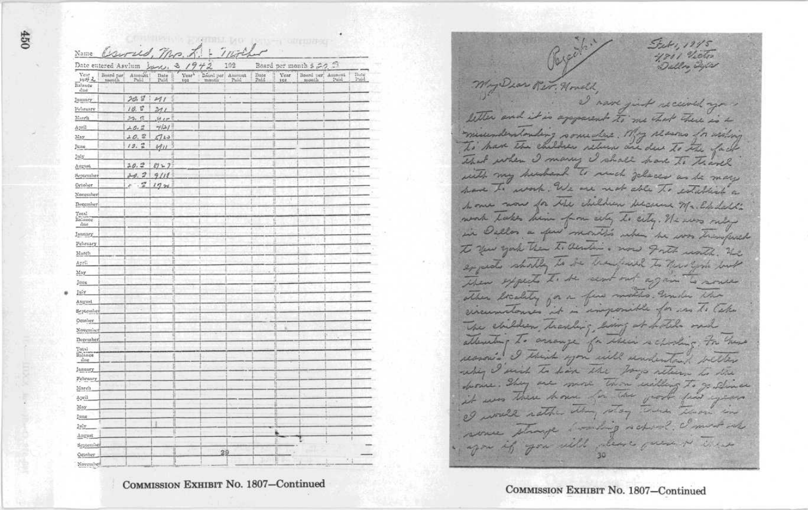|                                           |                      | Carried, Mr. L.<br>Date entered Asvlum Isms, 3, 1942                                   |                  |                          |                                                                                                                          | mother<br>102 |              |                    | Board per month \$ 20. 3  |                                     |
|-------------------------------------------|----------------------|----------------------------------------------------------------------------------------|------------------|--------------------------|--------------------------------------------------------------------------------------------------------------------------|---------------|--------------|--------------------|---------------------------|-------------------------------------|
| Year<br>1996 2<br><b>Tislande</b><br>diam | Board per<br>sassili | $\begin{array}{c} \Lambda \mathrm{mon} \Delta \mathbf{t} \\ \mathrm{Pald} \end{array}$ | $_{mid}$<br>Paid | Vear <sup>1</sup><br>191 | $\begin{tabular}{ c c } \hline \texttt{D\'e} and per & American \\ \texttt{manifix} & Paul \\ \hline \end{tabular}$<br>Y |               | Date<br>Paid | <b>Vear</b><br>102 | Boord per Amacut<br>month | $\frac{D_0 t \alpha}{D_0 t \alpha}$ |
| January                                   |                      | 20.12                                                                                  | 211              |                          |                                                                                                                          |               |              |                    |                           |                                     |
| Peliruary                                 |                      | 10.5                                                                                   | 311              |                          |                                                                                                                          |               |              | μ                  |                           |                                     |
| March                                     |                      | 25.6                                                                                   | 39.65            |                          |                                                                                                                          |               |              |                    |                           |                                     |
| April                                     |                      | 2.0.2                                                                                  | 7/2/             |                          |                                                                                                                          |               |              | 1                  |                           |                                     |
| May                                       |                      | 20.2                                                                                   | 5113             |                          |                                                                                                                          |               |              | jį.                |                           |                                     |
| June                                      |                      | 19.2                                                                                   | 411              |                          |                                                                                                                          |               |              | H.                 |                           |                                     |
| July                                      |                      |                                                                                        |                  |                          |                                                                                                                          |               |              | ä                  |                           |                                     |
| August                                    |                      | 20.2                                                                                   | $27 - 7$         |                          |                                                                                                                          |               |              | ü                  |                           |                                     |
| September                                 |                      | 20.2                                                                                   | 9118             |                          |                                                                                                                          |               |              | U                  |                           |                                     |
| Ortober                                   |                      | $\cdot$ $\tilde{z}$<br>×                                                               | $17 - 24$        |                          |                                                                                                                          |               |              | Ħ                  |                           |                                     |
| November                                  |                      |                                                                                        |                  |                          |                                                                                                                          |               |              |                    |                           |                                     |
| December                                  |                      |                                                                                        |                  |                          |                                                                                                                          |               |              | i                  |                           |                                     |
| $\Upsilon_{\rm OIA}$                      |                      |                                                                                        |                  |                          |                                                                                                                          |               |              | I                  |                           |                                     |
| Balance<br>diso                           |                      |                                                                                        |                  |                          |                                                                                                                          |               |              | f,                 |                           |                                     |
| Innuary                                   |                      |                                                                                        |                  |                          |                                                                                                                          |               |              |                    |                           |                                     |
| Pehruary                                  |                      |                                                                                        |                  |                          |                                                                                                                          |               |              |                    |                           |                                     |
| March                                     |                      |                                                                                        |                  |                          |                                                                                                                          |               |              |                    |                           |                                     |
| April                                     |                      |                                                                                        |                  |                          |                                                                                                                          |               |              |                    |                           |                                     |
| May                                       |                      |                                                                                        |                  |                          |                                                                                                                          |               |              | ł                  |                           |                                     |
| June                                      |                      |                                                                                        |                  |                          |                                                                                                                          |               |              | N                  |                           |                                     |
| July                                      |                      |                                                                                        |                  |                          |                                                                                                                          |               |              | H                  |                           |                                     |
| August                                    |                      |                                                                                        |                  |                          |                                                                                                                          |               |              |                    |                           |                                     |
| September                                 |                      |                                                                                        |                  |                          |                                                                                                                          |               |              | H                  |                           |                                     |
| October                                   |                      |                                                                                        |                  |                          |                                                                                                                          |               |              |                    |                           |                                     |
| November                                  |                      |                                                                                        |                  |                          |                                                                                                                          |               |              | ă                  |                           |                                     |
| December                                  |                      |                                                                                        |                  |                          |                                                                                                                          |               |              | B                  |                           |                                     |
| Total                                     |                      |                                                                                        |                  |                          |                                                                                                                          |               |              |                    |                           |                                     |
| Balance<br>due                            |                      |                                                                                        |                  |                          |                                                                                                                          |               |              |                    |                           |                                     |
| January                                   |                      |                                                                                        | ļ,               |                          |                                                                                                                          |               |              |                    |                           |                                     |
| February                                  |                      |                                                                                        |                  |                          |                                                                                                                          |               |              |                    |                           |                                     |
| March                                     |                      |                                                                                        |                  |                          |                                                                                                                          |               |              |                    |                           |                                     |
| April                                     |                      |                                                                                        |                  |                          |                                                                                                                          |               |              |                    |                           |                                     |
| May                                       |                      |                                                                                        |                  |                          |                                                                                                                          |               |              |                    |                           |                                     |
| Imme                                      |                      |                                                                                        |                  |                          |                                                                                                                          |               |              |                    |                           |                                     |
| July                                      |                      |                                                                                        | ï                |                          |                                                                                                                          |               |              |                    |                           |                                     |
| Angust                                    |                      |                                                                                        | ü                |                          |                                                                                                                          |               |              |                    |                           |                                     |
| September                                 |                      |                                                                                        |                  |                          |                                                                                                                          |               |              | H                  |                           |                                     |

COMMISSION EXHIBIT No. 1807-Continued

Set, 19/5 4801 Victor My Dear Rev. Housek, I nave just received you letter and it is apparent to me that there is a misenderstanding some das. My seams in many To have the children relieve are due to the fact That when I many I shall have to travel with my hundred to much places as he may were To work. We are not able To establish a home wow for the children belovens Mr. Elledall's work lakes him from ally be city. He was only in Dellos a few months when he was transfered to you york them to dender . now goth unth. He expects should is the beautiful to the form with Then expects to be sent out again to source ather breakty for a few moths would the The children handing borg at holds one attenting to arrange for which recharding, For these reason's I think you will understand belles why I wish to have the for attern to the durine. They are more than willing to gentlines it was there have for the groot few years I would nather than way There there in some strange someting water ? I must into agon if you will also guess is there

COMMISSION EXHIBIT No. 1807-Continued

 $\overline{25}$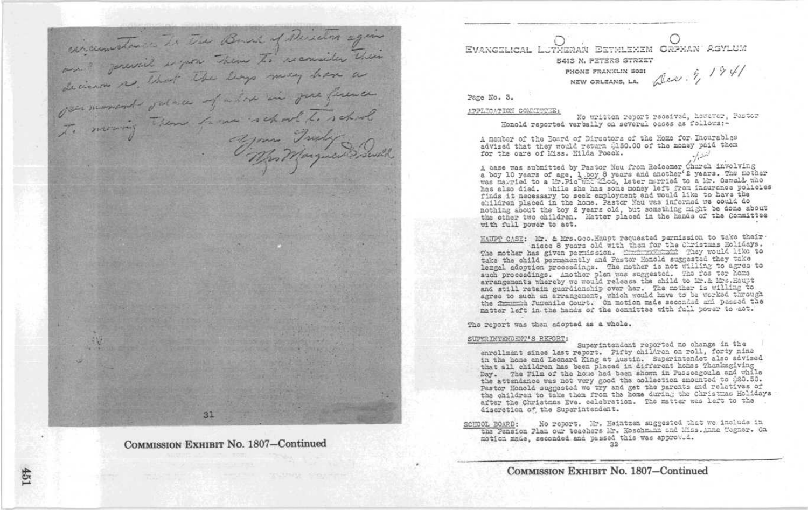diraumetance de Tie Bound of Deischer agen and governich is you them to reconsider their decision as that the lays may have permonent outra of above in fore firence To moving them forme what to school The Marguere mil

COMMISSION EXHIBIT No. 1807-Continued

EVANGELICAL LUTHERAN ESTHLEHEM ORPHAN ASYLUM E413 N. PETERS STREET NEW ORLEANS, LA.  $\Delta$ Lev.  $\hat{\eta}$ ,  $1941$ PHONE FRANKLIN 5031

Page No. 3.

#### APPLICATION COMMITTEE:

No written report received, however, Pastor Honold reported varbally on several cases as follows:-

A member of the Eosrd of Directors of the Home for Incurables advised that they would return 0150.00 of the money paid them for the care of Miss. Hilda Poeck.

A case was submitted by Pastor Nau from Redeemer Church involving a boy 10 years of age, 1 boy 8 years and another 2 years. The mother was maxried to a Mr. Oswald who has also died. While she has some money left from insurance policies finds it necessary to seek employment and would like to have the children placed in the home. Pastor Nau was informed we could do nothing about the boy 2 years old, but something might be done about the other two children. Matter placed in the hands of the Committee with full power to act.

HAUPT CASE: Mr. & Mrs. Geo. Haupt requested permission to take their nicce 8 years old with them for the Christmas Holidays. The mother has given permission. The most they would like to take the child permanently and Pastor Monold suggested they take lezgal adoption proceedings. The mother is not willing to agree to such proceedings. Another plan we suggested. The fos ter home and still retain guardianship over her. The mother is willing to agree to such an excapanant, which would have to be worked through the framing Jurentle Court. On motion made secondad and passed the matter left in the hands of the connitiee with full power to act.

The report was then adopted as a whole.

#### SUPERINTENDENT'S REPORT:

Superintendent reported no change in the enrollment since last report. Fifty children on roll, forty nine in the home and Leonard King at Austin. Superintendet also advised that all children has been placed in different homes Thonksgiving Day. The Film of the home had been shown in Passeagoula and while the attendance was not very good the collection amounted to 020.50. Pastor Honold suggested we try and get the parents and relatives of the children to take them from the home during the Christmas Holidays after the Christmas Eve. celebration. The matter was left to the discretion of the Superintendent.

No report. Mr. Heintzen suggested that we include in SCHOOL BOARD: the Pension Plan our teachers Mr. Koschmann and Miss. Anna Wagner. Ca motion made, seconded and passed this was approved.